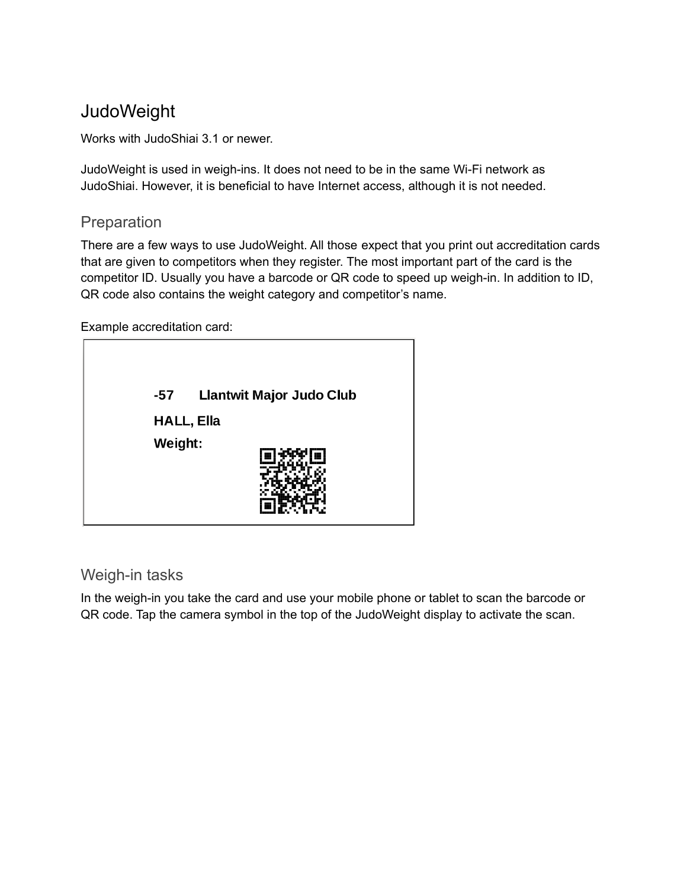# **JudoWeight**

Works with JudoShiai 3.1 or newer.

JudoWeight is used in weigh-ins. It does not need to be in the same Wi-Fi network as JudoShiai. However, it is beneficial to have Internet access, although it is not needed.

## Preparation

There are a few ways to use JudoWeight. All those expect that you print out accreditation cards that are given to competitors when they register. The most important part of the card is the competitor ID. Usually you have a barcode or QR code to speed up weigh-in. In addition to ID, QR code also contains the weight category and competitor's name.

Example accreditation card:



## Weigh-in tasks

In the weigh-in you take the card and use your mobile phone or tablet to scan the barcode or QR code. Tap the camera symbol in the top of the JudoWeight display to activate the scan.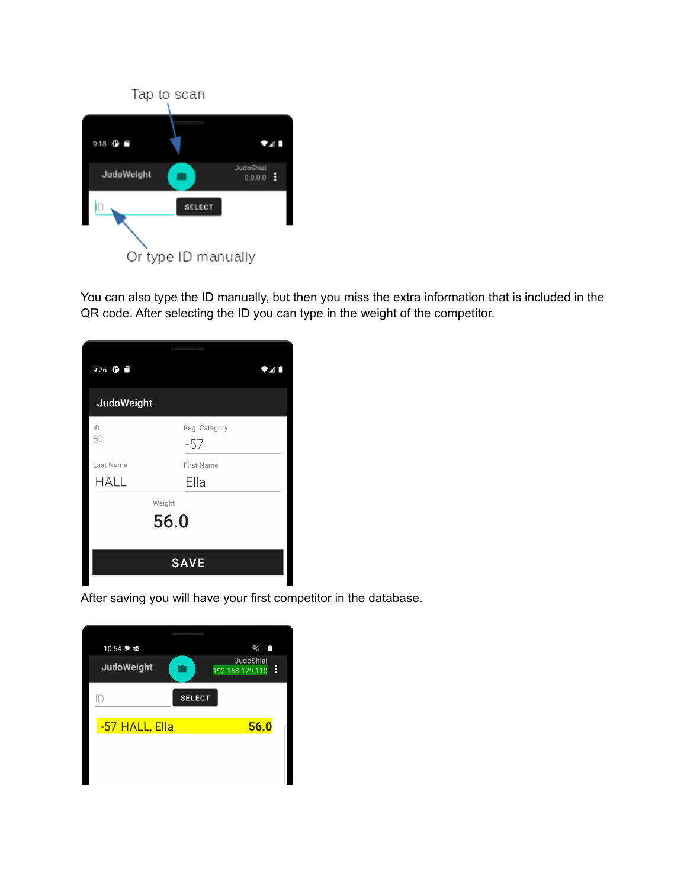

You can also type the ID manually, but then you miss the extra information that is included in the QR code. After selecting the ID you can type in the weight of the competitor.

| 9:26 $\bullet$ $\bullet$ |                        | 24 I |  |
|--------------------------|------------------------|------|--|
| JudoWeight               |                        |      |  |
| ID<br>80                 | Reg. Category<br>$-57$ |      |  |
| Last Name                | <b>First Name</b>      |      |  |
| <b>HALL</b>              | Ella                   |      |  |
| Weight<br>56.0           |                        |      |  |
| <b>SAVE</b>              |                        |      |  |

After saving you will have your first competitor in the database.

| 0.000.000.000.000.000        |                                   |
|------------------------------|-----------------------------------|
| 10:54 单 亟                    | $\widehat{\mathbb{R}}$ . $\Vert$  |
| <b>JudoWeight</b><br>$\circ$ | JudoShiai<br>፧<br>192.168.129.110 |
| Ш                            | <b>SELECT</b>                     |
| -57 HALL, Ella               | 56.0                              |
|                              |                                   |
|                              |                                   |
|                              |                                   |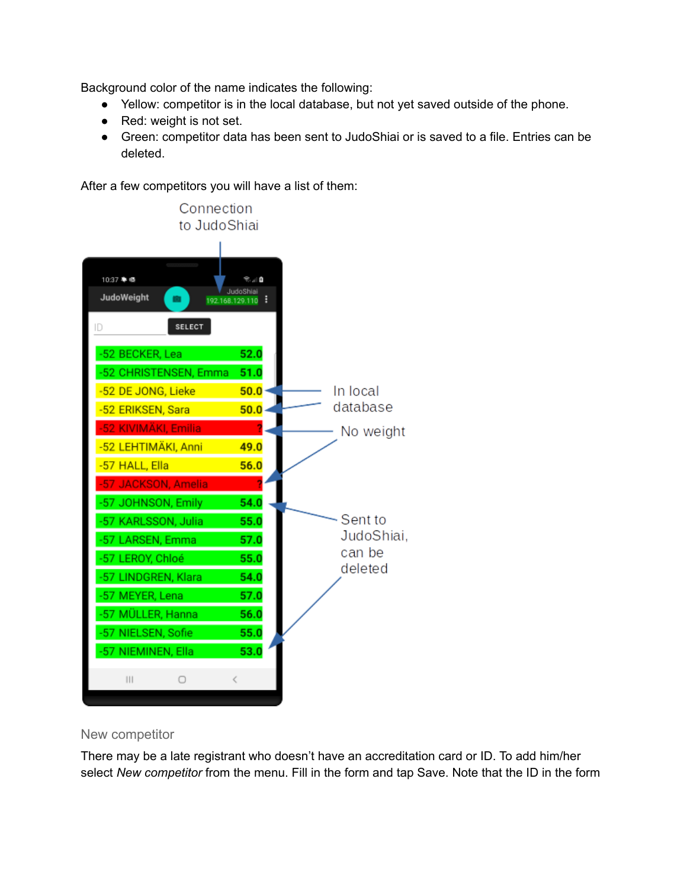Background color of the name indicates the following:

- Yellow: competitor is in the local database, but not yet saved outside of the phone.
- Red: weight is not set.
- Green: competitor data has been sent to JudoShiai or is saved to a file. Entries can be deleted.

After a few competitors you will have a list of them:



#### New competitor

There may be a late registrant who doesn't have an accreditation card or ID. To add him/her select *New competitor* from the menu. Fill in the form and tap Save. Note that the ID in the form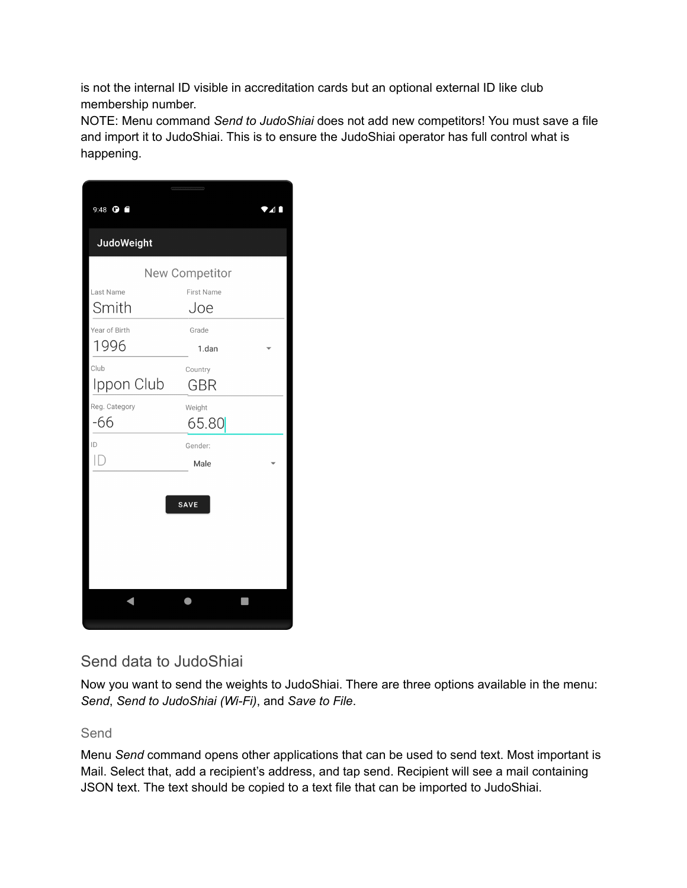is not the internal ID visible in accreditation cards but an optional external ID like club membership number.

NOTE: Menu command *Send to JudoShiai* does not add new competitors! You must save a file and import it to JudoShiai. This is to ensure the JudoShiai operator has full control what is happening.

| 9:48 <b>O</b>     |                   | 41 |  |  |
|-------------------|-------------------|----|--|--|
| <b>JudoWeight</b> |                   |    |  |  |
| New Competitor    |                   |    |  |  |
| Last Name         | <b>First Name</b> |    |  |  |
| Smith             | Joe               |    |  |  |
| Year of Birth     | Grade             |    |  |  |
| 1996              | 1.dan             |    |  |  |
| Club              | Country           |    |  |  |
| Ippon Club        | GBR               |    |  |  |
| Reg. Category     | Weight            |    |  |  |
| -66               | 65.80             |    |  |  |
| ID                | Gender:           |    |  |  |
|                   | Male              |    |  |  |
|                   |                   |    |  |  |
|                   | <b>SAVE</b>       |    |  |  |
|                   |                   |    |  |  |
|                   |                   |    |  |  |
|                   |                   |    |  |  |
|                   |                   |    |  |  |
|                   |                   |    |  |  |
|                   |                   |    |  |  |
|                   |                   |    |  |  |

## Send data to JudoShiai

Now you want to send the weights to JudoShiai. There are three options available in the menu: *Send*, *Send to JudoShiai (Wi-Fi)*, and *Save to File*.

#### Send

Menu *Send* command opens other applications that can be used to send text. Most important is Mail. Select that, add a recipient's address, and tap send. Recipient will see a mail containing JSON text. The text should be copied to a text file that can be imported to JudoShiai.